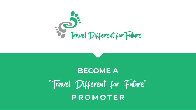# **BECOME A** "Travel Different for Future" **PROMOTER**

Elisabeth Contract for Future



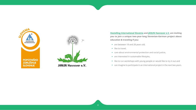



#### **[Hostelling International Slovenia](https://www.youth-hostel.si/en) and [JANUN Hannover e.V.](https://janun-hannover.de/) are inviting you to join a unique two-year-long Slovenian-German project about education & traveling if you:**

**•** are between 18 and 28 years old,

- 
- **•** like to travel,
- **•** care about environmental protection and social justice,
- **•** are interested in sustainable lifestyles,
- **•** like to run workshops with young people or would like to try it out and
- **•** can imagine to participate in an international project in the next two years.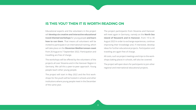### **IS THIS YOU? THEN IT IS WORTH READING ON**

Educational experts and the volunteers in the project will **develop six creative and interactive educational travel-themed workshops** for young people **and learn how to run them**. That means all volunteers will be invited to participate in an international training, which will take place on the **Slovenian Mediterranean coast**  from 26 August to 7 September 2022. Participation and travelling are free of charge.

The workshops will be offered by the volunteers of the projects all over Slovenia and in the Hanover Region in Germany. We call this a peer-to-peer approach. Young people teach other young people.

The project will start in May 2022 and the first workshops for the youth will be hosted in schools and other institutions where young people meet in the December of the same year.

The project participants from Slovenia and Hanover will meet again in Germany, namely on the **North Sea island of Neuwerk and in Hanover**, from 19 to 30 August 2023 in order to exchange experiences, continue improving their knowledge and, if interested, develop ideas for further educational projects. Participation and traveling are again free of charge.

All costs, such as project meetings and trips to the workshops (taking place) in schools, will also be covered.

The project will open doors for participants to join other regional and international educational projects.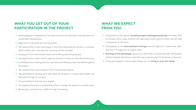

## **WHAT YOU GET OUT OF YOUR PARTICIPATION IN THE PROJECT**

- **•** Methodological competence in the field of non-formal education and education for sustainable development
- **•** Experience in working with young people
- **•** The opportunity to also participate in the third international seminar in summer 2024 in which two more partner countries will be included
- **•** Being part of an international team and meeting interesting people
- **•** The opportunity to learn how to organise and work in teams at international seminars
- **•** A certificate documenting what you have done and what you have learned throughout the project
- **•** The opportunity to participate in other educational projects
- **•** The possibility to develop your own ideas for projects in a team with people you will meet through this project
- **•** The possibility to improve your English
- **•** The opportunity to join a project that helps to change the world into a better place
- **•** Becoming a promoter for a different way of traveling

## **WHAT WE EXPECT FROM YOU**

**•** Participation in the approx. **monthly project meetings/workshops** from May 2022 to October 2023, many of which will take place online (some of them will be held

**•** Participation in the **international trainings** from 26 August to 7 September 2022

- in Slovenian or German).
- and from 19 August to 30 August 2023.
- 
- 

**• Running of five workshops**, alone or in a team with a second volunteer. Workshops will last between 90 minutes and half a day and being held in Slovenian or German.

**•** Active participation in the project where you can **bring in your own ideas**.